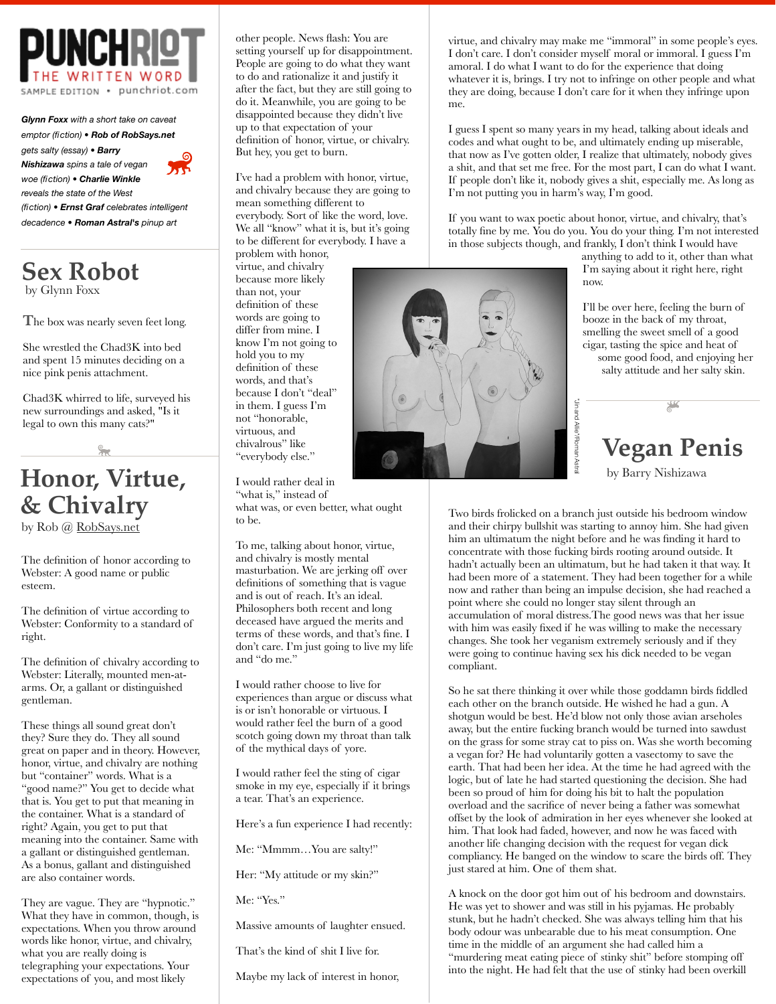

*Glynn Foxx with a short take on caveat emptor (fiction) • Rob of RobSays.net gets salty (essay) • Barry Nishizawa spins a tale of vegan woe (fiction) • Charlie Winkle reveals the state of the West (fiction) • Ernst Graf celebrates intelligent* 

*decadence • Roman Astral's pinup art*

**Sex Robot** by Glynn Foxx

**T**he box was nearly seven feet long.

She wrestled the Chad3K into bed and spent 15 minutes deciding on a nice pink penis attachment.

Chad3K whirred to life, surveyed his new surroundings and asked, "Is it legal to own this many cats?"

## **Honor, Virtue, & Chivalry**

by Rob @ [RobSays.net](http://RobSays.net)

The definition of honor according to Webster: A good name or public esteem.

The definition of virtue according to Webster: Conformity to a standard of right.

The definition of chivalry according to Webster: Literally, mounted men-atarms. Or, a gallant or distinguished gentleman.

These things all sound great don't they? Sure they do. They all sound great on paper and in theory. However, honor, virtue, and chivalry are nothing but "container" words. What is a "good name?" You get to decide what that is. You get to put that meaning in the container. What is a standard of right? Again, you get to put that meaning into the container. Same with a gallant or distinguished gentleman. As a bonus, gallant and distinguished are also container words.

They are vague. They are "hypnotic." What they have in common, though, is expectations. When you throw around words like honor, virtue, and chivalry, what you are really doing is telegraphing your expectations. Your expectations of you, and most likely

other people. News flash: You are setting yourself up for disappointment. People are going to do what they want to do and rationalize it and justify it after the fact, but they are still going to do it. Meanwhile, you are going to be disappointed because they didn't live up to that expectation of your definition of honor, virtue, or chivalry. But hey, you get to burn.

I've had a problem with honor, virtue, and chivalry because they are going to mean something different to everybody. Sort of like the word, love. We all "know" what it is, but it's going to be different for everybody. I have a

problem with honor, virtue, and chivalry because more likely than not, your definition of these words are going to differ from mine. I know I'm not going to hold you to my definition of these words, and that's because I don't "deal" in them. I guess I'm not "honorable, virtuous, and chivalrous" like "everybody else."

I would rather deal in "what is," instead of what was, or even better, what ought to be.

To me, talking about honor, virtue, and chivalry is mostly mental masturbation. We are jerking off over definitions of something that is vague and is out of reach. It's an ideal. Philosophers both recent and long deceased have argued the merits and terms of these words, and that's fine. I don't care. I'm just going to live my life and "do me."

I would rather choose to live for experiences than argue or discuss what is or isn't honorable or virtuous. I would rather feel the burn of a good scotch going down my throat than talk of the mythical days of yore.

I would rather feel the sting of cigar smoke in my eye, especially if it brings a tear. That's an experience.

Here's a fun experience I had recently:

Me: "Mmmm…You are salty!"

Her: "My attitude or my skin?"

Me: "Yes."

Massive amounts of laughter ensued.

That's the kind of shit I live for.

Maybe my lack of interest in honor,

virtue, and chivalry may make me "immoral" in some people's eyes. I don't care. I don't consider myself moral or immoral. I guess I'm amoral. I do what I want to do for the experience that doing whatever it is, brings. I try not to infringe on other people and what they are doing, because I don't care for it when they infringe upon me.

I guess I spent so many years in my head, talking about ideals and codes and what ought to be, and ultimately ending up miserable, that now as I've gotten older, I realize that ultimately, nobody gives a shit, and that set me free. For the most part, I can do what I want. If people don't like it, nobody gives a shit, especially me. As long as I'm not putting you in harm's way, I'm good.

If you want to wax poetic about honor, virtue, and chivalry, that's totally fine by me. You do you. You do your thing. I'm not interested in those subjects though, and frankly, I don't think I would have

anything to add to it, other than what I'm saying about it right here, right now.

I'll be over here, feeling the burn of booze in the back of my throat, smelling the sweet smell of a good cigar, tasting the spice and heat of some good food, and enjoying her salty attitude and her salty skin.

 $\frac{1}{2}$ **Vegan Penis**

by Barry Nishizawa

Two birds frolicked on a branch just outside his bedroom window and their chirpy bullshit was starting to annoy him. She had given him an ultimatum the night before and he was finding it hard to concentrate with those fucking birds rooting around outside. It hadn't actually been an ultimatum, but he had taken it that way. It had been more of a statement. They had been together for a while now and rather than being an impulse decision, she had reached a point where she could no longer stay silent through an accumulation of moral distress.The good news was that her issue with him was easily fixed if he was willing to make the necessary changes. She took her veganism extremely seriously and if they were going to continue having sex his dick needed to be vegan compliant.

"Jin and Allie"/Roman Astral

"Jin and Allie"/Roman Astra

So he sat there thinking it over while those goddamn birds fiddled each other on the branch outside. He wished he had a gun. A shotgun would be best. He'd blow not only those avian arseholes away, but the entire fucking branch would be turned into sawdust on the grass for some stray cat to piss on. Was she worth becoming a vegan for? He had voluntarily gotten a vasectomy to save the earth. That had been her idea. At the time he had agreed with the logic, but of late he had started questioning the decision. She had been so proud of him for doing his bit to halt the population overload and the sacrifice of never being a father was somewhat offset by the look of admiration in her eyes whenever she looked at him. That look had faded, however, and now he was faced with another life changing decision with the request for vegan dick compliancy. He banged on the window to scare the birds off. They just stared at him. One of them shat.

A knock on the door got him out of his bedroom and downstairs. He was yet to shower and was still in his pyjamas. He probably stunk, but he hadn't checked. She was always telling him that his body odour was unbearable due to his meat consumption. One time in the middle of an argument she had called him a "murdering meat eating piece of stinky shit" before stomping off into the night. He had felt that the use of stinky had been overkill

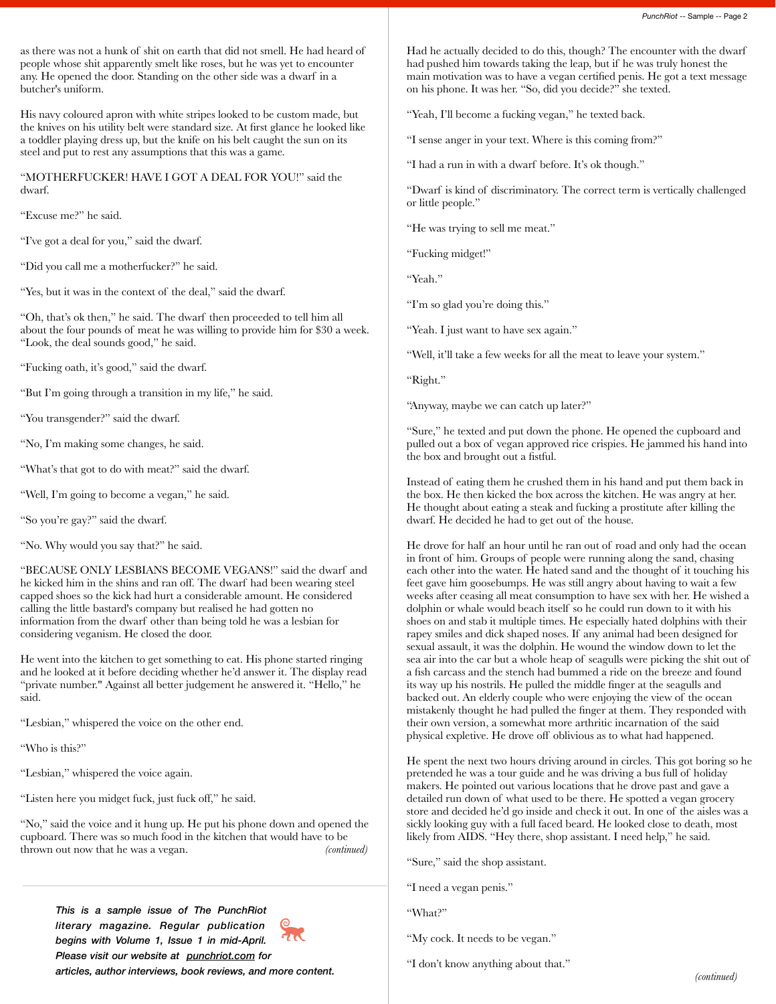as there was not a hunk of shit on earth that did not smell. He had heard of people whose shit apparently smelt like roses, but he was yet to encounter any. He opened the door. Standing on the other side was a dwarf in a butcher's uniform.

His navy coloured apron with white stripes looked to be custom made, but the knives on his utility belt were standard size. At first glance he looked like a toddler playing dress up, but the knife on his belt caught the sun on its steel and put to rest any assumptions that this was a game.

"MOTHERFUCKER! HAVE I GOT A DEAL FOR YOU!" said the dwarf.

"Excuse me?" he said.

"I've got a deal for you," said the dwarf.

"Did you call me a motherfucker?" he said.

"Yes, but it was in the context of the deal," said the dwarf.

"Oh, that's ok then," he said. The dwarf then proceeded to tell him all about the four pounds of meat he was willing to provide him for \$30 a week. "Look, the deal sounds good," he said.

"Fucking oath, it's good," said the dwarf.

"But I'm going through a transition in my life," he said.

"You transgender?" said the dwarf.

"No, I'm making some changes, he said.

"What's that got to do with meat?" said the dwarf.

"Well, I'm going to become a vegan," he said.

"So you're gay?" said the dwarf.

"No. Why would you say that?" he said.

"BECAUSE ONLY LESBIANS BECOME VEGANS!" said the dwarf and he kicked him in the shins and ran off. The dwarf had been wearing steel capped shoes so the kick had hurt a considerable amount. He considered calling the little bastard's company but realised he had gotten no information from the dwarf other than being told he was a lesbian for considering veganism. He closed the door.

He went into the kitchen to get something to eat. His phone started ringing and he looked at it before deciding whether he'd answer it. The display read "private number." Against all better judgement he answered it. "Hello," he said.

"Lesbian," whispered the voice on the other end.

"Who is this?"

"Lesbian," whispered the voice again.

"Listen here you midget fuck, just fuck off," he said.

"No," said the voice and it hung up. He put his phone down and opened the cupboard. There was so much food in the kitchen that would have to be thrown out now that he was a vegan. *(continued)*

*This is a sample issue of The PunchRiot literary magazine. Regular publication begins with Volume 1, Issue 1 in mid-April. Please visit our website at [punchriot.com](http://punchriot.com) for articles, author interviews, book reviews, and more content.*



Had he actually decided to do this, though? The encounter with the dwarf had pushed him towards taking the leap, but if he was truly honest the main motivation was to have a vegan certified penis. He got a text message on his phone. It was her. "So, did you decide?" she texted.

"Yeah, I'll become a fucking vegan," he texted back.

"I sense anger in your text. Where is this coming from?"

"I had a run in with a dwarf before. It's ok though."

"Dwarf is kind of discriminatory. The correct term is vertically challenged or little people."

"He was trying to sell me meat."

"Fucking midget!"

"Yeah."

"I'm so glad you're doing this."

"Yeah. I just want to have sex again."

"Well, it'll take a few weeks for all the meat to leave your system."

"Right."

"Anyway, maybe we can catch up later?"

"Sure," he texted and put down the phone. He opened the cupboard and pulled out a box of vegan approved rice crispies. He jammed his hand into the box and brought out a fistful.

Instead of eating them he crushed them in his hand and put them back in the box. He then kicked the box across the kitchen. He was angry at her. He thought about eating a steak and fucking a prostitute after killing the dwarf. He decided he had to get out of the house.

He drove for half an hour until he ran out of road and only had the ocean in front of him. Groups of people were running along the sand, chasing each other into the water. He hated sand and the thought of it touching his feet gave him goosebumps. He was still angry about having to wait a few weeks after ceasing all meat consumption to have sex with her. He wished a dolphin or whale would beach itself so he could run down to it with his shoes on and stab it multiple times. He especially hated dolphins with their rapey smiles and dick shaped noses. If any animal had been designed for sexual assault, it was the dolphin. He wound the window down to let the sea air into the car but a whole heap of seagulls were picking the shit out of a fish carcass and the stench had bummed a ride on the breeze and found its way up his nostrils. He pulled the middle finger at the seagulls and backed out. An elderly couple who were enjoying the view of the ocean mistakenly thought he had pulled the finger at them. They responded with their own version, a somewhat more arthritic incarnation of the said physical expletive. He drove off oblivious as to what had happened.

He spent the next two hours driving around in circles. This got boring so he pretended he was a tour guide and he was driving a bus full of holiday makers. He pointed out various locations that he drove past and gave a detailed run down of what used to be there. He spotted a vegan grocery store and decided he'd go inside and check it out. In one of the aisles was a sickly looking guy with a full faced beard. He looked close to death, most likely from AIDS. "Hey there, shop assistant. I need help," he said.

"Sure," said the shop assistant.

"I need a vegan penis."

"What?"

"My cock. It needs to be vegan."

"I don't know anything about that."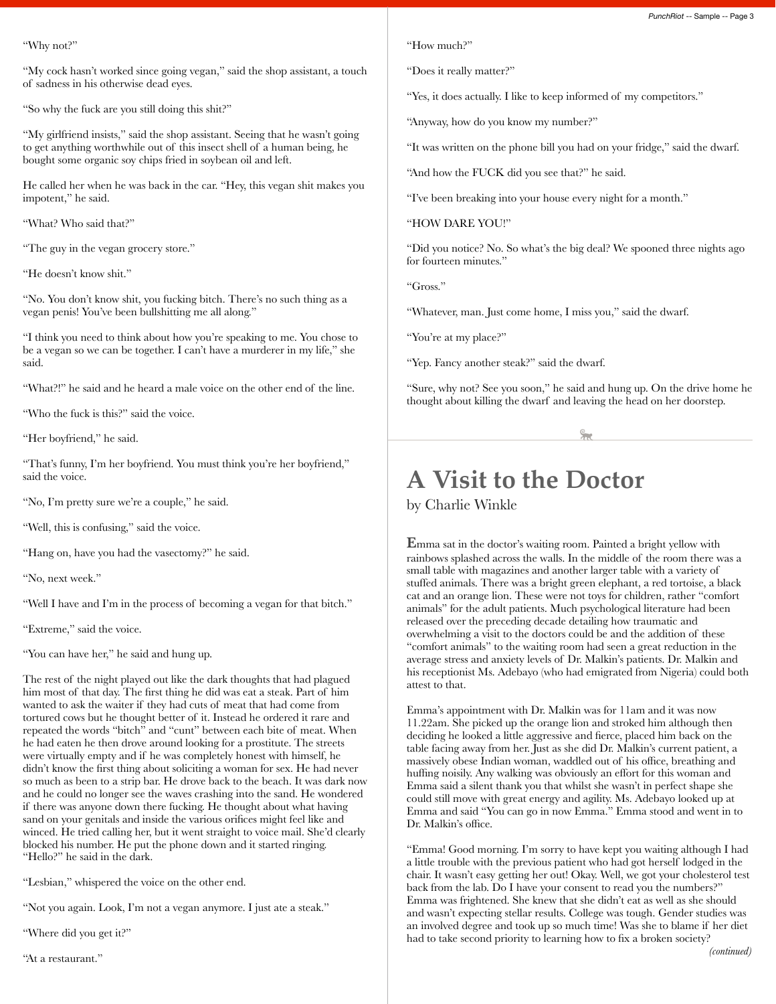"Why not?"

"My cock hasn't worked since going vegan," said the shop assistant, a touch of sadness in his otherwise dead eyes.

"So why the fuck are you still doing this shit?"

"My girlfriend insists," said the shop assistant. Seeing that he wasn't going to get anything worthwhile out of this insect shell of a human being, he bought some organic soy chips fried in soybean oil and left.

He called her when he was back in the car. "Hey, this vegan shit makes you impotent," he said.

"What? Who said that?"

"The guy in the vegan grocery store."

"He doesn't know shit."

"No. You don't know shit, you fucking bitch. There's no such thing as a vegan penis! You've been bullshitting me all along."

"I think you need to think about how you're speaking to me. You chose to be a vegan so we can be together. I can't have a murderer in my life," she said.

"What?!" he said and he heard a male voice on the other end of the line.

"Who the fuck is this?" said the voice.

"Her boyfriend," he said.

"That's funny, I'm her boyfriend. You must think you're her boyfriend," said the voice.

"No, I'm pretty sure we're a couple," he said.

"Well, this is confusing," said the voice.

"Hang on, have you had the vasectomy?" he said.

"No, next week."

"Well I have and I'm in the process of becoming a vegan for that bitch."

"Extreme," said the voice.

"You can have her," he said and hung up.

The rest of the night played out like the dark thoughts that had plagued him most of that day. The first thing he did was eat a steak. Part of him wanted to ask the waiter if they had cuts of meat that had come from tortured cows but he thought better of it. Instead he ordered it rare and repeated the words "bitch" and "cunt" between each bite of meat. When he had eaten he then drove around looking for a prostitute. The streets were virtually empty and if he was completely honest with himself, he didn't know the first thing about soliciting a woman for sex. He had never so much as been to a strip bar. He drove back to the beach. It was dark now and he could no longer see the waves crashing into the sand. He wondered if there was anyone down there fucking. He thought about what having sand on your genitals and inside the various orifices might feel like and winced. He tried calling her, but it went straight to voice mail. She'd clearly blocked his number. He put the phone down and it started ringing. "Hello?" he said in the dark.

"Lesbian," whispered the voice on the other end.

"Not you again. Look, I'm not a vegan anymore. I just ate a steak."

"Where did you get it?"

"At a restaurant."

"How much?"

"Does it really matter?"

"Yes, it does actually. I like to keep informed of my competitors."

"Anyway, how do you know my number?"

"It was written on the phone bill you had on your fridge," said the dwarf.

"And how the FUCK did you see that?" he said.

"I've been breaking into your house every night for a month."

"HOW DARE YOU!"

"Did you notice? No. So what's the big deal? We spooned three nights ago for fourteen minutes."

"Gross."

"Whatever, man. Just come home, I miss you," said the dwarf.

"You're at my place?"

"Yep. Fancy another steak?" said the dwarf.

"Sure, why not? See you soon," he said and hung up. On the drive home he thought about killing the dwarf and leaving the head on her doorstep.

## **A Visit to the Doctor**

by Charlie Winkle

**E**mma sat in the doctor's waiting room. Painted a bright yellow with rainbows splashed across the walls. In the middle of the room there was a small table with magazines and another larger table with a variety of stuffed animals. There was a bright green elephant, a red tortoise, a black cat and an orange lion. These were not toys for children, rather "comfort animals" for the adult patients. Much psychological literature had been released over the preceding decade detailing how traumatic and overwhelming a visit to the doctors could be and the addition of these "comfort animals" to the waiting room had seen a great reduction in the average stress and anxiety levels of Dr. Malkin's patients. Dr. Malkin and his receptionist Ms. Adebayo (who had emigrated from Nigeria) could both attest to that.

Emma's appointment with Dr. Malkin was for 11am and it was now 11.22am. She picked up the orange lion and stroked him although then deciding he looked a little aggressive and fierce, placed him back on the table facing away from her. Just as she did Dr. Malkin's current patient, a massively obese Indian woman, waddled out of his office, breathing and huffing noisily. Any walking was obviously an effort for this woman and Emma said a silent thank you that whilst she wasn't in perfect shape she could still move with great energy and agility. Ms. Adebayo looked up at Emma and said "You can go in now Emma." Emma stood and went in to Dr. Malkin's office.

"Emma! Good morning. I'm sorry to have kept you waiting although I had a little trouble with the previous patient who had got herself lodged in the chair. It wasn't easy getting her out! Okay. Well, we got your cholesterol test back from the lab. Do I have your consent to read you the numbers?" Emma was frightened. She knew that she didn't eat as well as she should and wasn't expecting stellar results. College was tough. Gender studies was an involved degree and took up so much time! Was she to blame if her diet had to take second priority to learning how to fix a broken society?